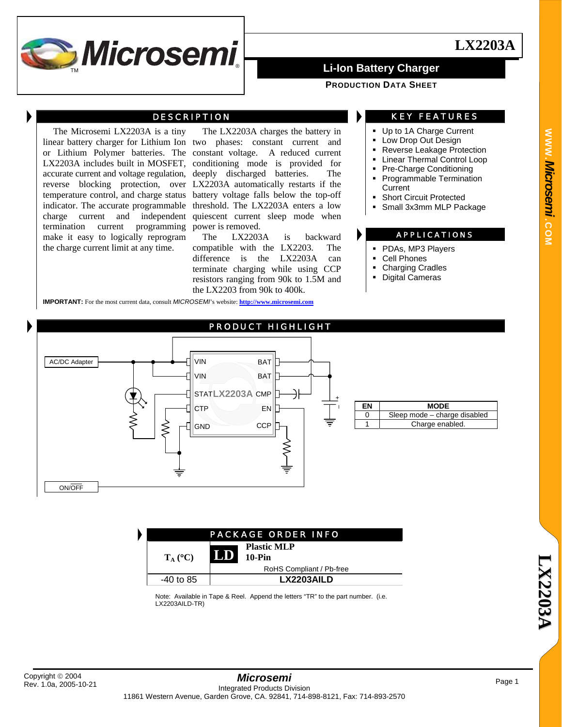

**PRODUCTION DATA SHEET**

## DESCRIPTION

The Microsemi LX2203A is a tiny termination current make it easy to logically reprogram the charge current limit at any time. programming power is removed.

linear battery charger for Lithium Ion two phases: constant current and or Lithium Polymer batteries. The constant voltage. A reduced current LX2203A includes built in MOSFET, conditioning mode is provided for accurate current and voltage regulation, deeply discharged batteries. The reverse blocking protection, over LX2203A automatically restarts if the temperature control, and charge status battery voltage falls below the top-off indicator. The accurate programmable threshold. The LX2203A enters a low charge current and independent quiescent current sleep mode when The LX2203A charges the battery in

> The LX2203A is backward compatible with the LX2203. The difference is the LX2203A can terminate charging while using CCP resistors ranging from 90k to 1.5M and the LX2203 from 90k to 400k.

**IMPORTANT:** For the most current data, consult *MICROSEMI*'s website: **http://www.microsemi.com**

## KEY FEATURES

- Up to 1A Charge Current
- **Low Drop Out Design**
- Reverse Leakage Protection
- **-** Linear Thermal Control Loop
- Pre-Charge Conditioning
- **Programmable Termination Current**
- Short Circuit Protected
- Small 3x3mm MLP Package

## APPLICATIONS

- PDAs, MP3 Players
- Cell Phones
- Charging Cradles
- Digital Cameras



|  | <b>MODE</b>                  |
|--|------------------------------|
|  | Sleep mode - charge disabled |
|  | Charge enabled.              |

| <b>PACKAGE ORDER INFO</b> |                                                    |  |
|---------------------------|----------------------------------------------------|--|
| $T_A (^{\circ}C)$         | <b>Plastic MLP</b><br>$\boxed{\phantom{1}}$ 10-Pin |  |
|                           | RoHS Compliant / Pb-free                           |  |
| -40 to 85                 | LX2203AILD                                         |  |

Note: Available in Tape & Reel. Append the letters "TR" to the part number. (i.e. LX2203AILD-TR)

**WWW.**

**L**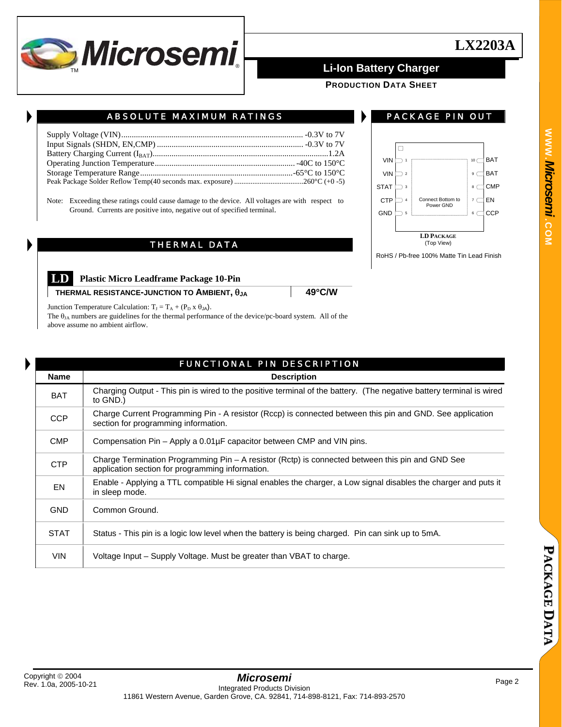

**PRODUCTION DATA SHEET**

ABSOLUTE MAXIMUM RATINGS

Note: Exceeding these ratings could cause damage to the device. All voltages are with respect to Ground. Currents are positive into, negative out of specified terminal.

## THERMAL DATA



PACKAGE PIN OUT

**LD Plastic Micro Leadframe Package 10-Pin** 

**THERMAL RESISTANCE-JUNCTION TO AMBIENT,**  $\theta_{JA}$  **49°C/W** 

Junction Temperature Calculation:  $T_J = T_A + (P_D \times \theta_{JA})$ .

The  $\theta_{JA}$  numbers are guidelines for the thermal performance of the device/pc-board system. All of the above assume no ambient airflow.

|             | <b>FUNCTIONAL PIN DESCRIPTION</b>                                                                                                                    |  |  |  |  |
|-------------|------------------------------------------------------------------------------------------------------------------------------------------------------|--|--|--|--|
| <b>Name</b> | <b>Description</b>                                                                                                                                   |  |  |  |  |
| <b>BAT</b>  | Charging Output - This pin is wired to the positive terminal of the battery. (The negative battery terminal is wired<br>to GND.)                     |  |  |  |  |
| <b>CCP</b>  | Charge Current Programming Pin - A resistor (Rccp) is connected between this pin and GND. See application<br>section for programming information.    |  |  |  |  |
| <b>CMP</b>  | Compensation Pin - Apply a 0.01µF capacitor between CMP and VIN pins.                                                                                |  |  |  |  |
| <b>CTP</b>  | Charge Termination Programming Pin - A resistor (Rctp) is connected between this pin and GND See<br>application section for programming information. |  |  |  |  |
| <b>EN</b>   | Enable - Applying a TTL compatible Hi signal enables the charger, a Low signal disables the charger and puts it<br>in sleep mode.                    |  |  |  |  |
| <b>GND</b>  | Common Ground.                                                                                                                                       |  |  |  |  |
| <b>STAT</b> | Status - This pin is a logic low level when the battery is being charged. Pin can sink up to 5mA.                                                    |  |  |  |  |
| <b>VIN</b>  | Voltage Input – Supply Voltage. Must be greater than VBAT to charge.                                                                                 |  |  |  |  |

**A**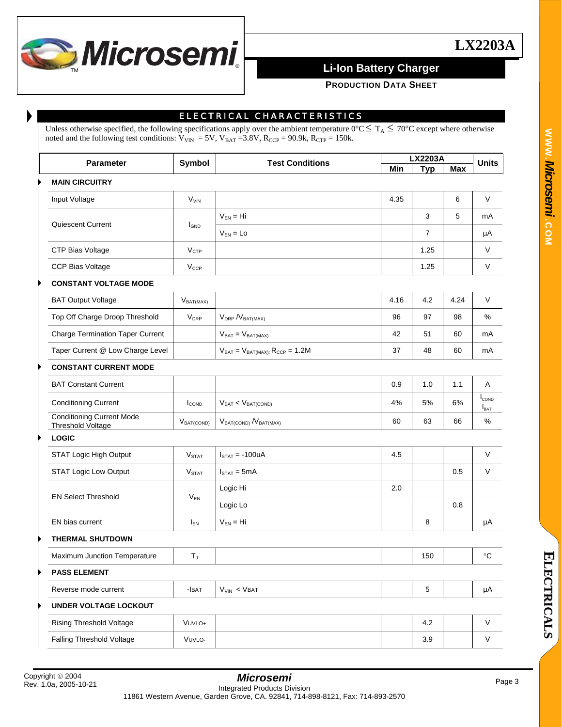

**PRODUCTION DATA SHEET**

## ELECTRICAL CHARACTERISTICS

Unless otherwise specified, the following specifications apply over the ambient temperature  $0^{\circ}C \leq T_A \leq 70^{\circ}C$  except where otherwise noted and the following test conditions:  $V_{VIN} = 5V$ ,  $V_{BAT} = 3.8V$ ,  $R_{CCP} = 90.9k$ ,  $R_{CTP} = 150k$ .

| Parameter |                                                       | Symbol            | <b>Test Conditions</b>                   | <b>LX2203A</b> |            |      | <b>Units</b>                      |
|-----------|-------------------------------------------------------|-------------------|------------------------------------------|----------------|------------|------|-----------------------------------|
|           |                                                       |                   |                                          | Min            | <b>Typ</b> | Max  |                                   |
|           | <b>MAIN CIRCUITRY</b>                                 |                   |                                          |                |            |      |                                   |
|           | Input Voltage                                         | V <sub>VIN</sub>  |                                          | 4.35           |            | 6    | V                                 |
|           | Quiescent Current                                     |                   | $V_{FN} = Hi$                            |                | 3          | 5    | mA                                |
|           |                                                       | <b>I</b> GND      | $V_{FN} = Lo$                            |                | 7          |      | μA                                |
|           | CTP Bias Voltage                                      | V <sub>CTP</sub>  |                                          |                | 1.25       |      | V                                 |
|           | <b>CCP Bias Voltage</b>                               | $V_{CCP}$         |                                          |                | 1.25       |      | V                                 |
|           | <b>CONSTANT VOLTAGE MODE</b>                          |                   |                                          |                |            |      |                                   |
|           | <b>BAT Output Voltage</b>                             | $V_{BAT(MAX)}$    |                                          | 4.16           | 4.2        | 4.24 | V                                 |
|           | Top Off Charge Droop Threshold                        | $V_{\text{DRP}}$  | $V_{DRP}$ / $V_{BAT(MAX)}$               | 96             | 97         | 98   | $\%$                              |
|           | <b>Charge Termination Taper Current</b>               |                   | $V_{BAT} = V_{BAT(MAX)}$                 | 42             | 51         | 60   | mA                                |
|           | Taper Current @ Low Charge Level                      |                   | $V_{BAT} = V_{BAT(MAX);} R_{CCP} = 1.2M$ | 37             | 48         | 60   | mA                                |
|           | <b>CONSTANT CURRENT MODE</b>                          |                   |                                          |                |            |      |                                   |
|           | <b>BAT Constant Current</b>                           |                   |                                          | 0.9            | 1.0        | 1.1  | Α                                 |
|           | <b>Conditioning Current</b>                           | <b>ICOND</b>      | $V_{BAT}$ < $V_{BAT(COND)}$              | 4%             | 5%         | 6%   | <b>I</b> COND<br>$I_{\text{BAT}}$ |
|           | <b>Conditioning Current Mode</b><br>Threshold Voltage | $V_{BAT(COND)}$   | $V_{BAT(COND)} N_{BAT(MAX)}$             | 60             | 63         | 66   | $\%$                              |
|           | <b>LOGIC</b>                                          |                   |                                          |                |            |      |                                   |
|           | STAT Logic High Output                                | V <sub>STAT</sub> | $I_{STAT} = -100uA$                      | 4.5            |            |      | $\vee$                            |
|           | <b>STAT Logic Low Output</b>                          | V <sub>STAT</sub> | $I_{\text{STAT}} = 5 \text{mA}$          |                |            | 0.5  | $\vee$                            |
|           | <b>EN Select Threshold</b>                            | $V_{EN}$          | Logic Hi                                 | 2.0            |            |      |                                   |
|           |                                                       |                   | Logic Lo                                 |                |            | 0.8  |                                   |
|           | EN bias current                                       | $I_{EN}$          | $V_{FN} = Hi$                            |                | 8          |      | μA                                |
|           | <b>THERMAL SHUTDOWN</b>                               |                   |                                          |                |            |      |                                   |
|           | Maximum Junction Temperature                          | $T_{J}$           |                                          |                | 150        |      | $^{\circ}C$                       |
|           | <b>PASS ELEMENT</b>                                   |                   |                                          |                |            |      |                                   |
|           | Reverse mode current                                  | $-I$ BAT          | $V_{VIN}$ < $VBAT$                       |                | 5          |      | μA                                |
|           | <b>UNDER VOLTAGE LOCKOUT</b>                          |                   |                                          |                |            |      |                                   |
|           | Rising Threshold Voltage                              | VUVLO+            |                                          |                | 4.2        |      | V                                 |
|           | <b>Falling Threshold Voltage</b>                      | VUVLO-            |                                          |                | 3.9        |      | V                                 |

**E**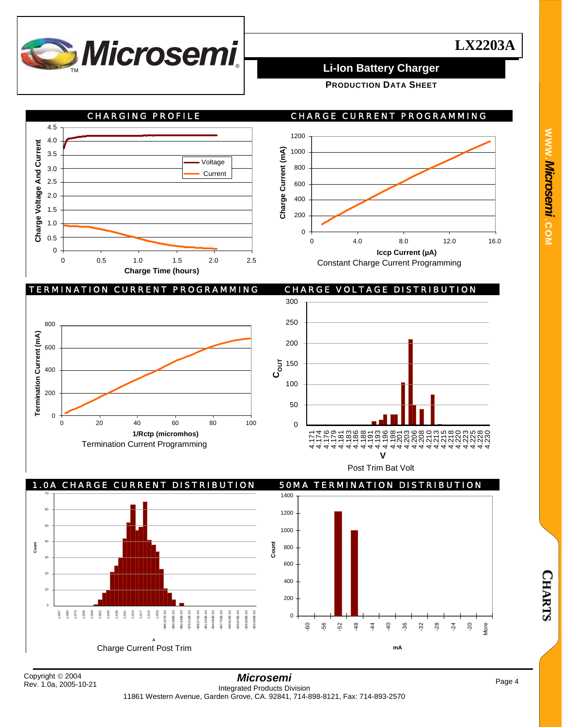

**PRODUCTION DATA SHEET**



**WWW.***Microsemi .***COM**

**C**

**H A R T S**

Rev. 1.0a, 2005-10-21

4.225 4.228 4.230

-20 More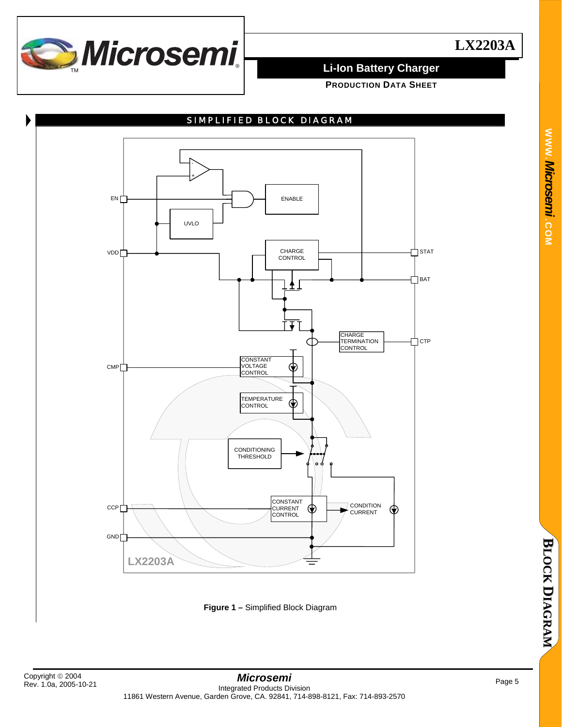

**PRODUCTION DATA SHEET**

## SIMPLIFIED BLOCK DIAGRAM



**Figure 1 –** Simplified Block Diagram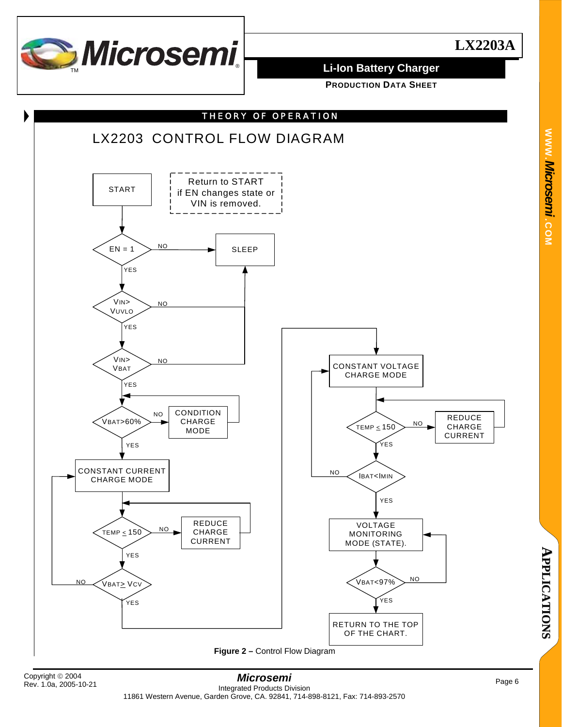

**PRODUCTION DATA SHEET**



**A**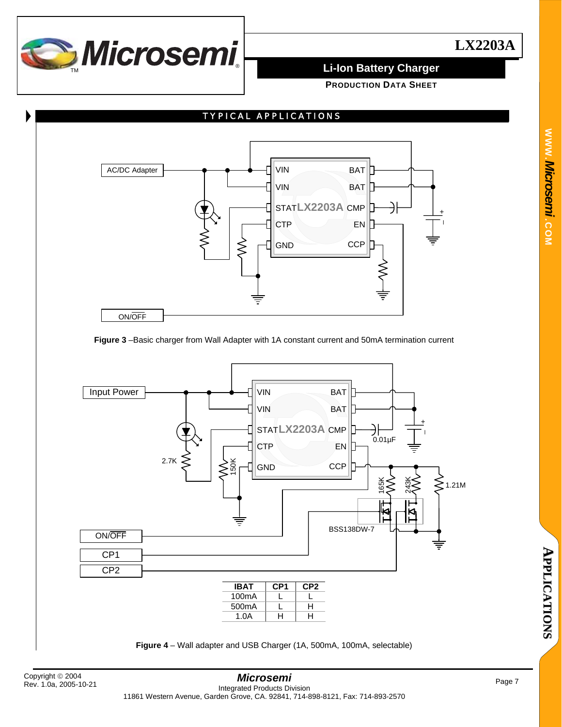

**PRODUCTION DATA SHEET**



### **Figure 3** –Basic charger from Wall Adapter with 1A constant current and 50mA termination current

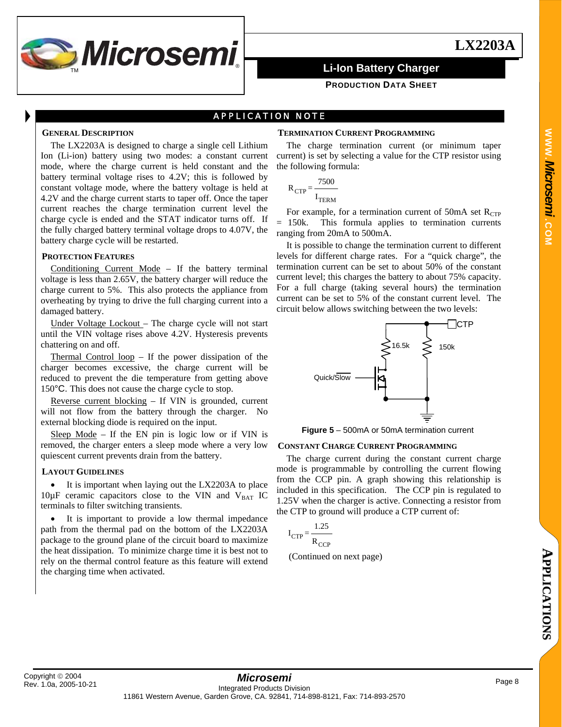

### **PRODUCTION DATA SHEET**

## APPLICATION NOTE

### **GENERAL DESCRIPTION**

The LX2203A is designed to charge a single cell Lithium Ion (Li-ion) battery using two modes: a constant current mode, where the charge current is held constant and the battery terminal voltage rises to 4.2V; this is followed by constant voltage mode, where the battery voltage is held at 4.2V and the charge current starts to taper off. Once the taper current reaches the charge termination current level the charge cycle is ended and the STAT indicator turns off. If the fully charged battery terminal voltage drops to 4.07V, the battery charge cycle will be restarted.

### **PROTECTION FEATURES**

Conditioning Current Mode – If the battery terminal voltage is less than 2.65V, the battery charger will reduce the charge current to 5%. This also protects the appliance from overheating by trying to drive the full charging current into a damaged battery.

Under Voltage Lockout – The charge cycle will not start until the VIN voltage rises above 4.2V. Hysteresis prevents chattering on and off.

Thermal Control loop – If the power dissipation of the charger becomes excessive, the charge current will be reduced to prevent the die temperature from getting above 150°C. This does not cause the charge cycle to stop.

Reverse current blocking – If VIN is grounded, current will not flow from the battery through the charger. No external blocking diode is required on the input.

Sleep Mode – If the EN pin is logic low or if VIN is removed, the charger enters a sleep mode where a very low quiescent current prevents drain from the battery.

### **LAYOUT GUIDELINES**

• It is important when laying out the LX2203A to place  $10\mu$ F ceramic capacitors close to the VIN and V<sub>BAT</sub> IC terminals to filter switching transients.

It is important to provide a low thermal impedance path from the thermal pad on the bottom of the LX2203A package to the ground plane of the circuit board to maximize the heat dissipation. To minimize charge time it is best not to rely on the thermal control feature as this feature will extend the charging time when activated.

### **TERMINATION CURRENT PROGRAMMING**

The charge termination current (or minimum taper current) is set by selecting a value for the CTP resistor using the following formula:

$$
R_{\text{CTP}} = \frac{7500}{I_{\text{TERM}}}
$$

For example, for a termination current of 50mA set  $R_{CTP}$ 

= 150k. This formula applies to termination currents ranging from 20mA to 500mA. It is possible to change the termination current to different

levels for different charge rates. For a "quick charge", the termination current can be set to about 50% of the constant current level; this charges the battery to about 75% capacity. For a full charge (taking several hours) the termination current can be set to 5% of the constant current level. The circuit below allows switching between the two levels:



**Figure 5** – 500mA or 50mA termination current

### **CONSTANT CHARGE CURRENT PROGRAMMING**

The charge current during the constant current charge mode is programmable by controlling the current flowing from the CCP pin. A graph showing this relationship is included in this specification. The CCP pin is regulated to 1.25V when the charger is active. Connecting a resistor from the CTP to ground will produce a CTP current of:

$$
I_{CTP} = \frac{1.25}{R_{CCP}}
$$

(Continued on next page)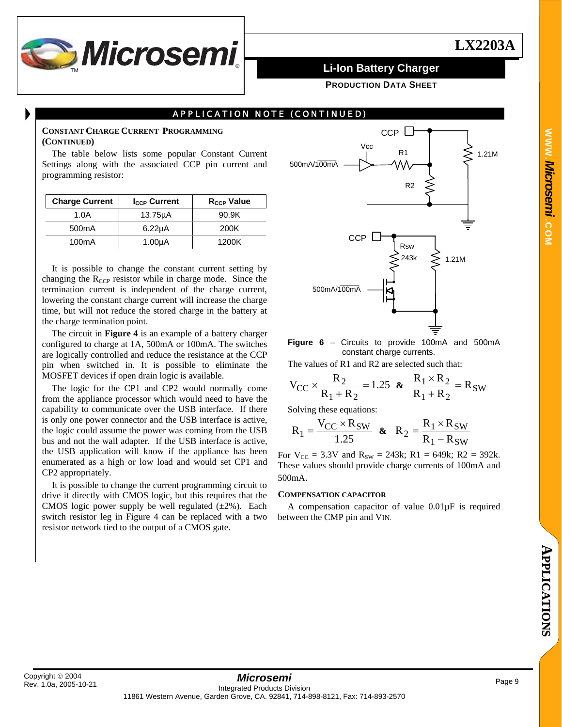

**PRODUCTION DATA SHEET**

## APPLICATION NOTE (CONTINUED)

### **CONSTANT CHARGE CURRENT PROGRAMMING (CONTINUED)**

The table below lists some popular Constant Current Settings along with the associated CCP pin current and programming resistor:

| <b>Charge Current</b> | <b>I<sub>CCP</sub></b> Current | R <sub>CCP</sub> Value |
|-----------------------|--------------------------------|------------------------|
| 1.0A                  | $13.75\mu A$                   | 90.9K                  |
| 500 <sub>m</sub> A    | $6.22\mu A$                    | 200K                   |
| 100mA                 | 1.00 <sub>µ</sub> A            | 1200K                  |

It is possible to change the constant current setting by changing the R<sub>CCP</sub> resistor while in charge mode. Since the termination current is independent of the charge current, lowering the constant charge current will increase the charge time, but will not reduce the stored charge in the battery at the charge termination point.

The circuit in **Figure 4** is an example of a battery charger configured to charge at 1A, 500mA or 100mA. The switches are logically controlled and reduce the resistance at the CCP pin when switched in. It is possible to eliminate the MOSFET devices if open drain logic is available.

The logic for the CP1 and CP2 would normally come from the appliance processor which would need to have the capability to communicate over the USB interface. If there is only one power connector and the USB interface is active, the logic could assume the power was coming from the USB bus and not the wall adapter. If the USB interface is active, the USB application will know if the appliance has been enumerated as a high or low load and would set CP1 and CP2 appropriately.

It is possible to change the current programming circuit to drive it directly with CMOS logic, but this requires that the CMOS logic power supply be well regulated  $(\pm 2\%)$ . Each switch resistor leg in Figure 4 can be replaced with a two resistor network tied to the output of a CMOS gate.



**Figure 6** – Circuits to provide 100mA and 500mA constant charge currents.

The values of R1 and R2 are selected such that:

$$
V_{CC} \times \frac{R_2}{R_1 + R_2} = 1.25
$$
 &  $\frac{R_1 \times R_2}{R_1 + R_2} = R_{SW}$ 

Solving these equations:

$$
R_1 = \frac{V_{CC} \times R_{SW}}{1.25} \quad \& \quad R_2 = \frac{R_1 \times R_{SW}}{R_1 - R_{SW}}
$$

For  $V_{CC} = 3.3V$  and  $R_{SW} = 243k$ ; R1 = 649k; R2 = 392k. These values should provide charge currents of 100mA and 500mA.

### **COMPENSATION CAPACITOR**

A compensation capacitor of value 0.01µF is required between the CMP pin and VIN.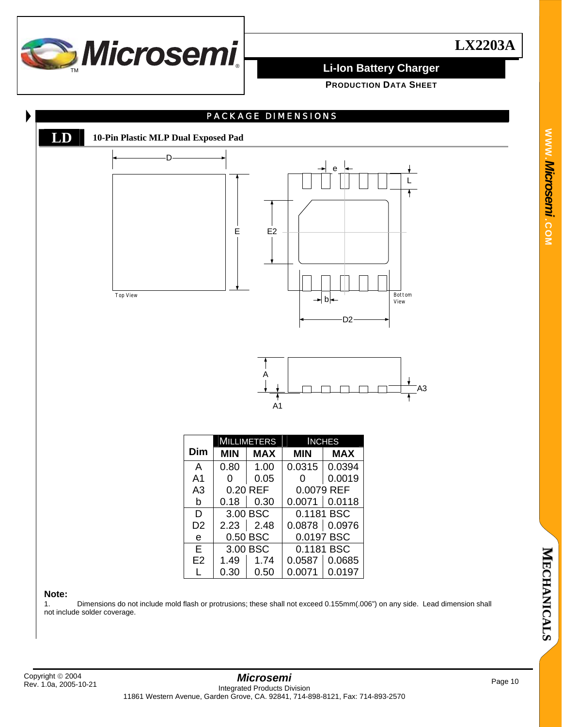

**PRODUCTION DATA SHEET**



### **Note:**

1. Dimensions do not include mold flash or protrusions; these shall not exceed 0.155mm(.006") on any side. Lead dimension shall not include solder coverage.